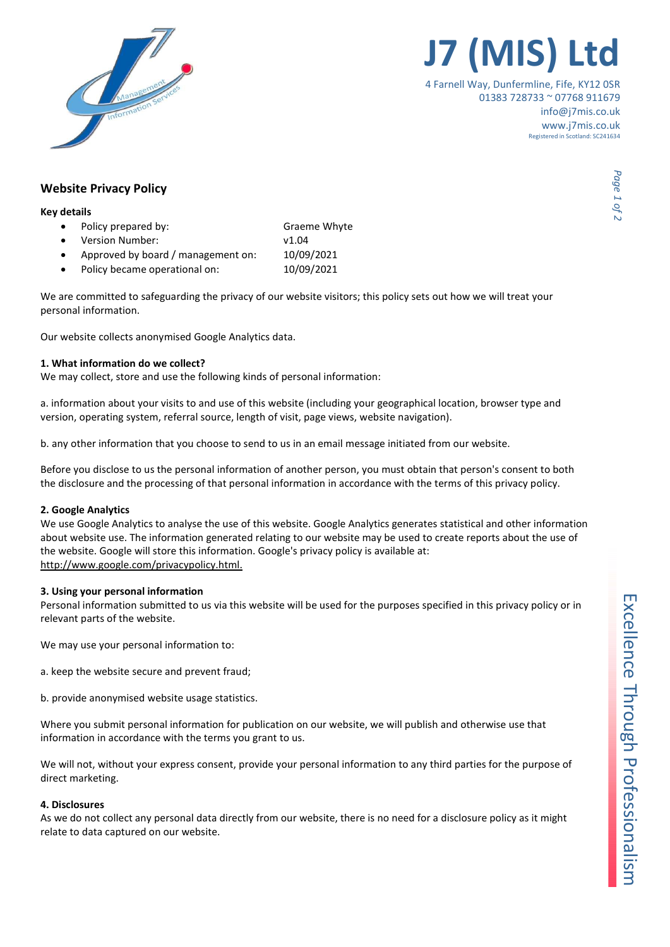

# J7 (MIS) Ltd

4 Farnell Way, Dunfermline, Fife, KY12 0SR 01383 728733 ~ 07768 911679 info@j7mis.co.uk www.j7mis.co.uk Registered in Scotland: SC241634

### Website Privacy Policy

#### Key details

- Policy prepared by: Graeme Whyte
- Version Number: v1.04
- Approved by board / management on: 10/09/2021
- Policy became operational on: 10/09/2021

We are committed to safeguarding the privacy of our website visitors; this policy sets out how we will treat your personal information.

Our website collects anonymised Google Analytics data.

#### 1. What information do we collect?

We may collect, store and use the following kinds of personal information:

a. information about your visits to and use of this website (including your geographical location, browser type and version, operating system, referral source, length of visit, page views, website navigation).

b. any other information that you choose to send to us in an email message initiated from our website.

Before you disclose to us the personal information of another person, you must obtain that person's consent to both the disclosure and the processing of that personal information in accordance with the terms of this privacy policy.

#### 2. Google Analytics

We use Google Analytics to analyse the use of this website. Google Analytics generates statistical and other information about website use. The information generated relating to our website may be used to create reports about the use of the website. Google will store this information. Google's privacy policy is available at: http://www.google.com/privacypolicy.html.

#### 3. Using your personal information

Personal information submitted to us via this website will be used for the purposes specified in this privacy policy or in relevant parts of the website.

We may use your personal information to:

- a. keep the website secure and prevent fraud;
- b. provide anonymised website usage statistics.

Where you submit personal information for publication on our website, we will publish and otherwise use that information in accordance with the terms you grant to us.

We will not, without your express consent, provide your personal information to any third parties for the purpose of direct marketing.

#### 4. Disclosures

As we do not collect any personal data directly from our website, there is no need for a disclosure policy as it might relate to data captured on our website.

Page 1 of 2